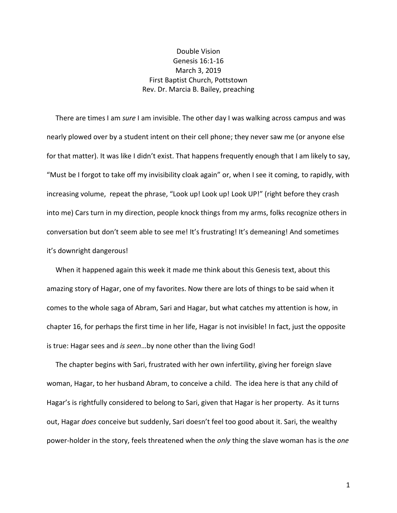## Double Vision Genesis 16:1-16 March 3, 2019 First Baptist Church, Pottstown Rev. Dr. Marcia B. Bailey, preaching

 There are times I am *sure* I am invisible. The other day I was walking across campus and was nearly plowed over by a student intent on their cell phone; they never saw me (or anyone else for that matter). It was like I didn't exist. That happens frequently enough that I am likely to say, "Must be I forgot to take off my invisibility cloak again" or, when I see it coming, to rapidly, with increasing volume, repeat the phrase, "Look up! Look up! Look UP!" (right before they crash into me) Cars turn in my direction, people knock things from my arms, folks recognize others in conversation but don't seem able to see me! It's frustrating! It's demeaning! And sometimes it's downright dangerous!

 When it happened again this week it made me think about this Genesis text, about this amazing story of Hagar, one of my favorites. Now there are lots of things to be said when it comes to the whole saga of Abram, Sari and Hagar, but what catches my attention is how, in chapter 16, for perhaps the first time in her life, Hagar is not invisible! In fact, just the opposite is true: Hagar sees and *is seen*…by none other than the living God!

 The chapter begins with Sari, frustrated with her own infertility, giving her foreign slave woman, Hagar, to her husband Abram, to conceive a child. The idea here is that any child of Hagar's is rightfully considered to belong to Sari, given that Hagar is her property. As it turns out, Hagar *does* conceive but suddenly, Sari doesn't feel too good about it. Sari, the wealthy power-holder in the story, feels threatened when the *only* thing the slave woman has is the *one*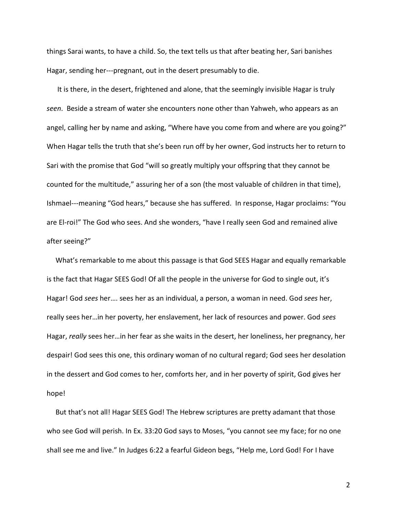things Sarai wants, to have a child. So, the text tells us that after beating her, Sari banishes Hagar, sending her---pregnant, out in the desert presumably to die.

 It is there, in the desert, frightened and alone, that the seemingly invisible Hagar is truly *seen*. Beside a stream of water she encounters none other than Yahweh, who appears as an angel, calling her by name and asking, "Where have you come from and where are you going?" When Hagar tells the truth that she's been run off by her owner, God instructs her to return to Sari with the promise that God "will so greatly multiply your offspring that they cannot be counted for the multitude," assuring her of a son (the most valuable of children in that time), Ishmael---meaning "God hears," because she has suffered. In response, Hagar proclaims: "You are El-roi!" The God who sees. And she wonders, "have I really seen God and remained alive after seeing?"

 What's remarkable to me about this passage is that God SEES Hagar and equally remarkable is the fact that Hagar SEES God! Of all the people in the universe for God to single out, it's Hagar! God *sees* her…. sees her as an individual, a person, a woman in need. God *sees* her, really sees her…in her poverty, her enslavement, her lack of resources and power. God *sees* Hagar, *really* sees her…in her fear as she waits in the desert, her loneliness, her pregnancy, her despair! God sees this one, this ordinary woman of no cultural regard; God sees her desolation in the dessert and God comes to her, comforts her, and in her poverty of spirit, God gives her hope!

 But that's not all! Hagar SEES God! The Hebrew scriptures are pretty adamant that those who see God will perish. In Ex. 33:20 God says to Moses, "you cannot see my face; for no one shall see me and live." In Judges 6:22 a fearful Gideon begs, "Help me, Lord God! For I have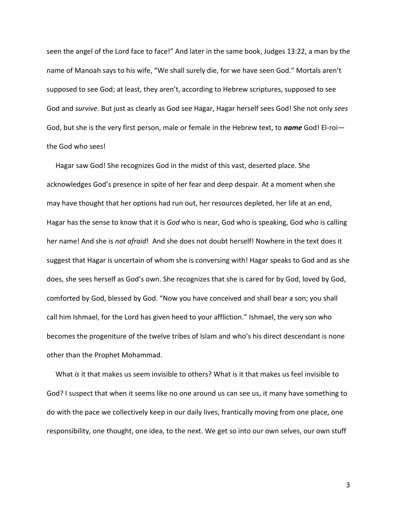seen the angel of the Lord face to face!" And later in the same book, Judges 13:22, a man by the name of Manoah says to his wife, "We shall surely die, for we have seen God." Mortals aren't supposed to see God; at least, they aren't, according to Hebrew scriptures, supposed to see God and *survive*. But just as clearly as God see Hagar, Hagar herself sees God! She not only *sees* God, but she is the very first person, male or female in the Hebrew text, to *name* God! El-roi the God who sees!

 Hagar saw God! She recognizes God in the midst of this vast, deserted place. She acknowledges God's presence in spite of her fear and deep despair. At a moment when she may have thought that her options had run out, her resources depleted, her life at an end, Hagar has the sense to know that it is *God* who is near, God who is speaking, God who is calling her name! And she is *not afraid*! And she does not doubt herself! Nowhere in the text does it suggest that Hagar is uncertain of whom she is conversing with! Hagar speaks to God and as she does, she sees herself as God's own. She recognizes that she is cared for by God, loved by God, comforted by God, blessed by God. "Now you have conceived and shall bear a son; you shall call him Ishmael, for the Lord has given heed to your affliction." Ishmael, the very son who becomes the progeniture of the twelve tribes of Islam and who's his direct descendant is none other than the Prophet Mohammad.

 What *is* it that makes us seem invisible to others? What is it that makes us feel invisible to God? I suspect that when it seems like no one around us can see us, it many have something to do with the pace we collectively keep in our daily lives, frantically moving from one place, one responsibility, one thought, one idea, to the next. We get so into our own selves, our own stuff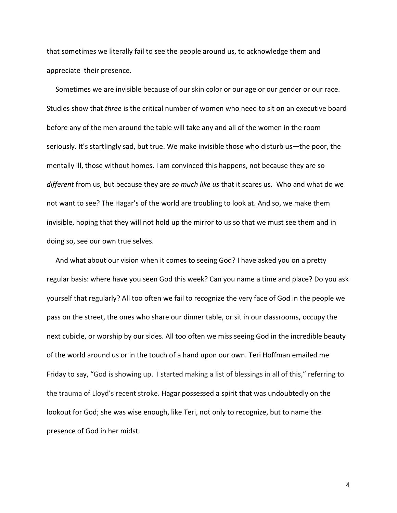that sometimes we literally fail to see the people around us, to acknowledge them and appreciate their presence.

 Sometimes we are invisible because of our skin color or our age or our gender or our race. Studies show that *three* is the critical number of women who need to sit on an executive board before any of the men around the table will take any and all of the women in the room seriously. It's startlingly sad, but true. We make invisible those who disturb us—the poor, the mentally ill, those without homes. I am convinced this happens, not because they are so *different* from us, but because they are *so much like us* that it scares us. Who and what do we not want to see? The Hagar's of the world are troubling to look at. And so, we make them invisible, hoping that they will not hold up the mirror to us so that we must see them and in doing so, see our own true selves.

 And what about our vision when it comes to seeing God? I have asked you on a pretty regular basis: where have you seen God this week? Can you name a time and place? Do you ask yourself that regularly? All too often we fail to recognize the very face of God in the people we pass on the street, the ones who share our dinner table, or sit in our classrooms, occupy the next cubicle, or worship by our sides. All too often we miss seeing God in the incredible beauty of the world around us or in the touch of a hand upon our own. Teri Hoffman emailed me Friday to say, "God is showing up. I started making a list of blessings in all of this," referring to the trauma of Lloyd's recent stroke. Hagar possessed a spirit that was undoubtedly on the lookout for God; she was wise enough, like Teri, not only to recognize, but to name the presence of God in her midst.